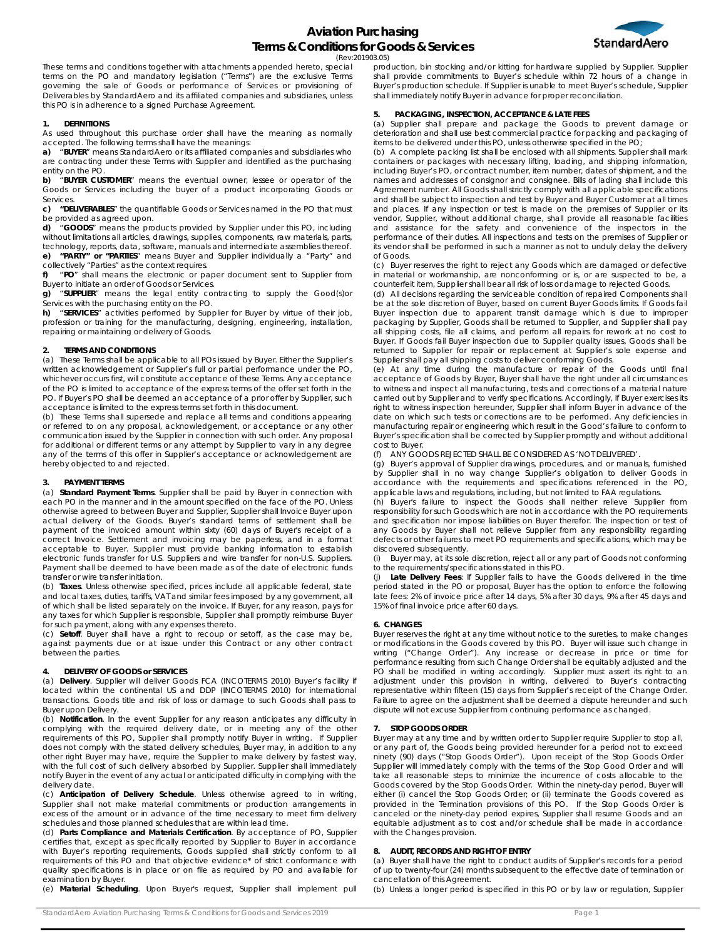

(Rev:201903.05)

These terms and conditions together with attachments appended hereto, special terms on the PO and mandatory legislation ("Terms") are the exclusive Terms governing the sale of Goods or performance of Services or provisioning of Deliverables by StandardAero and its affiliated companies and subsidiaries, unless this PO is in adherence to a signed Purchase Agreement.

#### **1. DEFINITIONS**

As used throughout this purchase order shall have the meaning as normally accepted. The following terms shall have the meanings:

**a)** "**BUYER**" means StandardAero or its affiliated companies and subsidiaries who are contracting under these Terms with Supplier and identified as the purchasing entity on the PO.

**b)** "**BUYER CUSTOMER**" means the eventual owner, lessee or operator of the Goods or Services including the buyer of a product incorporating Goods or Services.

**c) "DELIVERABLES**" the quantifiable Goods or Services named in the PO that must be provided as agreed upon.

**d)** "**GOODS**" means the products provided by Supplier under this PO, including without limitations all articles, drawings, supplies, components, raw materials, parts, technology, reports, data, software, manuals and intermediate assemblies thereof. **e) "PARTY" or "PARTIES**" means Buyer and Supplier individually a "Party" and

collectively "Parties" as the context requires. **f)** "**PO**" shall means the electronic or paper document sent to Supplier from Buyer to initiate an order of Goods or Services.

**g)** "**SUPPLIER**" means the legal entity contracting to supply the Good(s)or Services with the purchasing entity on the PO.

**h)** "**SERVICES**" activities performed by Supplier for Buyer by virtue of their job, profession or training for the manufacturing, designing, engineering, installation, repairing or maintaining or delivery of Goods.

# **2. TERMS AND CONDITIONS**

(a) These Terms shall be applicable to all POs issued by Buyer. Either the Supplier's written acknowledgement or Supplier's full or partial performance under the PO, whichever occurs first, will constitute acceptance of these Terms. Any acceptance of the PO is limited to acceptance of the express terms of the offer set forth in the PO. If Buyer's PO shall be deemed an acceptance of a prior offer by Supplier, such acceptance is limited to the express terms set forth in this document.

(b) These Terms shall supersede and replace all terms and conditions appearing or referred to on any proposal, acknowledgement, or acceptance or any other communication issued by the Supplier in connection with such order. Any proposal for additional or different terms or any attempt by Supplier to vary in any degree any of the terms of this offer in Supplier's acceptance or acknowledgement are hereby objected to and rejected.

### **3. PAYMENT TERMS**

(a) **Standard Payment Terms**. Supplier shall be paid by Buyer in connection with each PO in the manner and in the amount specified on the face of the PO. Unless otherwise agreed to between Buyer and Supplier, Supplier shall Invoice Buyer upon actual delivery of the Goods. Buyer's standard terms of settlement shall be payment of the invoiced amount within sixty (60) days of Buyer's receipt of a correct Invoice. Settlement and invoicing may be paperless, and in a format acceptable to Buyer. Supplier must provide banking information to establish electronic funds transfer for U.S. Suppliers and wire transfer for non-U.S. Suppliers. Payment shall be deemed to have been made as of the date of electronic funds transfer or wire transfer initiation.

(b) **Taxes**. Unless otherwise specified, prices include all applicable federal, state and local taxes, duties, tariffs, VAT and similar fees imposed by any government, all of which shall be listed separately on the invoice. If Buyer, for any reason, pays for any taxes for which Supplier is responsible, Supplier shall promptly reimburse Buyer for such payment, along with any expenses thereto.

(c) **Setoff**. Buyer shall have a right to recoup or setoff, as the case may be, against payments due or at issue under this Contract or any other contract between the parties.

# **4. DELIVERY OF GOODS or SERVICES**

(a) **Delivery**. Supplier will deliver Goods FCA (INCOTERMS 2010) Buyer's facility if located within the continental US and DDP (INCOTERMS 2010) for international transactions. Goods title and risk of loss or damage to such Goods shall pass to Buyer upon Delivery.

(b) **Notification**. In the event Supplier for any reason anticipates any difficulty in complying with the required delivery date, or in meeting any of the other requirements of this PO, Supplier shall promptly notify Buyer in writing. If Supplier does not comply with the stated delivery schedules, Buyer may, in addition to any other right Buyer may have, require the Supplier to make delivery by fastest way, with the full cost of such delivery absorbed by Supplier. Supplier shall immediately notify Buyer in the event of any actual or anticipated difficulty in complying with the delivery date

(c) **Anticipation of Delivery Schedule**. Unless otherwise agreed to in writing, Supplier shall not make material commitments or production arrangements in excess of the amount or in advance of the time necessary to meet firm delivery schedules and those planned schedules that are within lead time.

(d) **Parts Compliance and Materials Certification**. By acceptance of PO, Supplier certifies that, except as specifically reported by Supplier to Buyer in accordance with Buyer's reporting requirements, Goods supplied shall strictly conform to all requirements of this PO and that objective evidence\* of strict conformance with quality specifications is in place or on file as required by PO and available for examination by Buyer.

(e) **Material Scheduling**. Upon Buyer's request, Supplier shall implement pull

production, bin stocking and/or kitting for hardware supplied by Supplier. Supplier shall provide commitments to Buyer's schedule within 72 hours of a change in Buyer's production schedule. If Supplier is unable to meet Buyer's schedule, Supplier shall immediately notify Buyer in advance for proper reconciliation.

#### **5. PACKAGING, INSPECTION, ACCEPTANCE & LATE FEES**

(a) Supplier shall prepare and package the Goods to prevent damage or deterioration and shall use best commercial practice for packing and packaging of items to be delivered under this PO, unless otherwise specified in the PO;

(b) A complete packing list shall be enclosed with all shipments. Supplier shall mark containers or packages with necessary lifting, loading, and shipping information, including Buyer's PO, or contract number, item number, dates of shipment, and the names and addresses of consignor and consignee. Bills of lading shall include this Agreement number. All Goods shall strictly comply with all applicable specifications and shall be subject to inspection and test by Buyer and Buyer Customer at all times and places. If any inspection or test is made on the premises of Supplier or its vendor, Supplier, without additional charge, shall provide all reasonable facilities and assistance for the safety and convenience of the inspectors in the performance of their duties. All inspections and tests on the premises of Supplier or its vendor shall be performed in such a manner as not to unduly delay the delivery of Goods.

(c) Buyer reserves the right to reject any Goods which are damaged or defective in material or workmanship, are nonconforming or is, or are suspected to be, a counterfeit item, Supplier shall bear all risk of loss or damage to rejected Goods.

(d) All decisions regarding the serviceable condition of repaired Components shall be at the sole discretion of Buyer, based on current Buyer Goods limits. If Goods fail Buyer inspection due to apparent transit damage which is due to improper packaging by Supplier, Goods shall be returned to Supplier, and Supplier shall pay all shipping costs, file all claims, and perform all repairs for rework at no cost to Buyer. If Goods fail Buyer inspection due to Supplier quality issues, Goods shall be returned to Supplier for repair or replacement at Supplier's sole expense and Supplier shall pay all shipping costs to deliver conforming Goods.

(e) At any time during the manufacture or repair of the Goods until final acceptance of Goods by Buyer, Buyer shall have the right under all circumstances to witness and inspect all manufacturing, tests and corrections of a material nature carried out by Supplier and to verify specifications. Accordingly, if Buyer exercises its right to witness inspection hereunder, Supplier shall inform Buyer in advance of the date on which such tests or corrections are to be performed. Any deficiencies in manufacturing repair or engineering which result in the Good's failure to conform to Buyer's specification shall be corrected by Supplier promptly and without additional cost to Buyer.

(f) ANY GOODS REJECTED SHALL BE CONSIDERED AS 'NOT DELIVERED'.

(g) Buyer's approval of Supplier drawings, procedures, and or manuals, furnished by Supplier shall in no way change Supplier's obligation to deliver Goods in accordance with the requirements and specifications referenced in the PO, applicable laws and regulations, including, but not limited to FAA regulations.

(h) Buyer's failure to inspect the Goods shall neither relieve Supplier from responsibility for such Goods which are not in accordance with the PO requirements and specification nor impose liabilities on Buyer therefor. The inspection or test of any Goods by Buyer shall not relieve Supplier from any responsibility regarding defects or other failures to meet PO requirements and specifications, which may be discovered subsequently.

(i) Buyer may, at its sole discretion, reject all or any part of Goods not conforming to the requirements/specifications stated in this PO.

(j) **Late Delivery Fees**: If Supplier fails to have the Goods delivered in the time period stated in the PO or proposal, Buyer has the option to enforce the following late fees: 2% of invoice price after 14 days, 5% after 30 days, 9% after 45 days and 15% of final invoice price after 60 days.

#### **6. CHANGES**

Buyer reserves the right at any time without notice to the sureties, to make changes or modifications in the Goods covered by this PO. Buyer will issue such change in writing ("Change Order"). Any increase or decrease in price or time for performance resulting from such Change Order shall be equitably adjusted and the PO shall be modified in writing accordingly. Supplier must assert its right to an adjustment under this provision in writing, delivered to Buyer's contracting representative within fifteen (15) days from Supplier's receipt of the Change Order. Failure to agree on the adjustment shall be deemed a dispute hereunder and such dispute will not excuse Supplier from continuing performance as changed.

### **7. STOP GOODS ORDER**

Buyer may at any time and by written order to Supplier require Supplier to stop all, or any part of, the Goods being provided hereunder for a period not to exceed ninety (90) days ("Stop Goods Order"). Upon receipt of the Stop Goods Order Supplier will immediately comply with the terms of the Stop Good Order and will take all reasonable steps to minimize the incurrence of costs allocable to the Goods covered by the Stop Goods Order. Within the ninety-day period, Buyer will either (i) cancel the Stop Goods Order; or (ii) terminate the Goods covered as provided in the Termination provisions of this PO. If the Stop Goods Order is canceled or the ninety-day period expires, Supplier shall resume Goods and an equitable adjustment as to cost and/or schedule shall be made in accordance with the Changes provision.

#### **8. AUDIT, RECORDS AND RIGHT OF ENTRY**

(a) Buyer shall have the right to conduct audits of Supplier's records for a period of up to twenty-four (24) months subsequent to the effective date of termination or cancellation of this Agreement.

(b) Unless a longer period is specified in this PO or by law or regulation, Supplier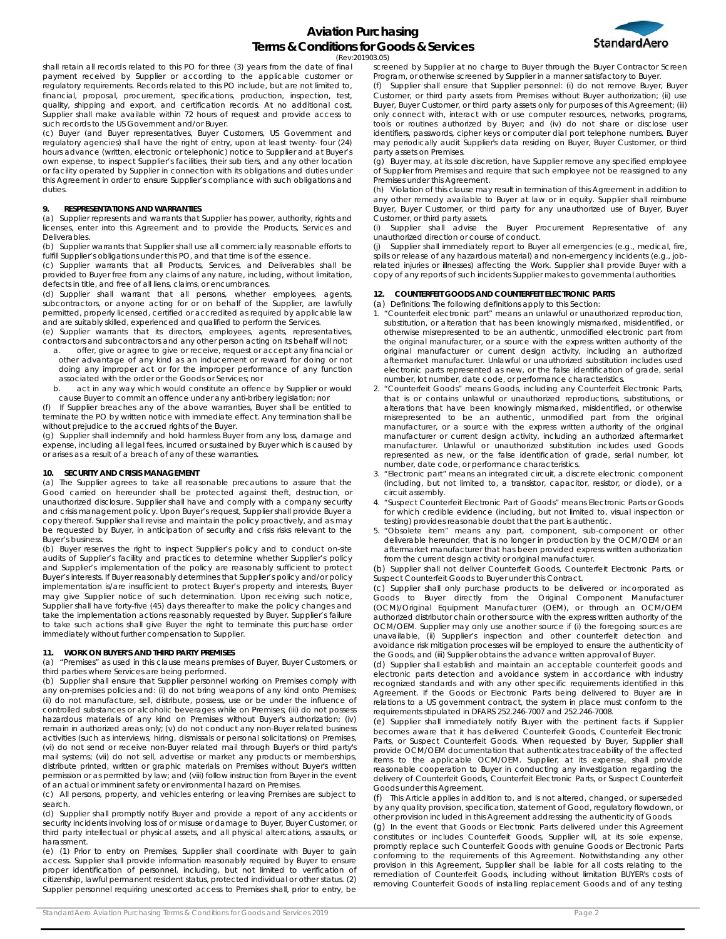

(Rev:201903.05)

shall retain all records related to this PO for three (3) years from the date of final payment received by Supplier or according to the applicable customer or regulatory requirements. Records related to this PO include, but are not limited to, financial, proposal, procurement, specifications, production, inspection, test, quality, shipping and export, and certification records. At no additional cost, Supplier shall make available within 72 hours of request and provide access to such records to the US Government and/or Buyer.

(c) Buyer (and Buyer representatives, Buyer Customers, US Government and regulatory agencies) shall have the right of entry, upon at least twenty- four (24) hours advance (written, electronic or telephonic) notice to Supplier and at Buyer's own expense, to inspect Supplier's facilities, their sub tiers, and any other location or facility operated by Supplier in connection with its obligations and duties under this Agreement in order to ensure Supplier's compliance with such obligations and duties.

## **9. RESPRESENTATIONS AND WARRANTIES**

(a) Supplier represents and warrants that Supplier has power, authority, rights and licenses, enter into this Agreement and to provide the Products, Services and Deliverables.

(b) Supplier warrants that Supplier shall use all commercially reasonable efforts to fulfill Supplier's obligations under this PO, and that time is of the essence

(c) Supplier warrants that all Products, Services, and Deliverables shall be provided to Buyer free from any claims of any nature, including, without limitation, defects in title, and free of all liens, claims, or encumbrances.

(d) Supplier shall warrant that all persons, whether employees, agents, subcontractors, or anyone acting for or on behalf of the Supplier, are lawfully permitted, properly licensed, certified or accredited as required by applicable law and are suitably skilled, experienced and qualified to perform the Services.

(e) Supplier warrants that its directors, employees, agents, representatives, contractors and subcontractors and any other person acting on its behalf will not:

- a. offer, give or agree to give or receive, request or accept any financial or other advantage of any kind as an inducement or reward for doing or not doing any improper act or for the improper performance of any function associated with the order or the Goods or Services; nor
- b. act in any way which would constitute an offence by Supplier or would cause Buyer to commit an offence under any anti-bribery legislation; nor

(f) If Supplier breaches any of the above warranties, Buyer shall be entitled to terminate the PO by written notice with immediate effect. Any termination shall be without prejudice to the accrued rights of the Buyer.

(g) Supplier shall indemnify and hold harmless Buyer from any loss, damage and expense, including all legal fees, incurred or sustained by Buyer which is caused by or arises as a result of a breach of any of these warranties.

# **10. SECURITY AND CRISIS MANAGEMENT**

(a) The Supplier agrees to take all reasonable precautions to assure that the Good carried on hereunder shall be protected against theft, destruction, or unauthorized disclosure. Supplier shall have and comply with a company security and crisis management policy. Upon Buyer's request, Supplier shall provide Buyer a copy thereof. Supplier shall revise and maintain the policy proactively, and as may be requested by Buyer, in anticipation of security and crisis risks relevant to the Buyer's business.

(b) Buyer reserves the right to inspect Supplier's policy and to conduct on-site audits of Supplier's facility and practices to determine whether Supplier's policy and Supplier's implementation of the policy are reasonably sufficient to protect Buyer's interests. If Buyer reasonably determines that Supplier's policy and/or policy implementation is/are insufficient to protect Buyer's property and interests, Buyer may give Supplier notice of such determination. Upon receiving such notice, Supplier shall have forty-five (45) days thereafter to make the policy changes and take the implementation actions reasonably requested by Buyer. Supplier's failure to take such actions shall give Buyer the right to terminate this purchase order immediately without further compensation to Supplier.

## **11. WORK ON BUYER'S AND THIRD PARTY PREMISES**

(a) "Premises" as used in this clause means premises of Buyer, Buyer Customers, or third parties where Services are being performed.

(b) Supplier shall ensure that Supplier personnel working on Premises comply with any on-premises policies and: (i) do not bring weapons of any kind onto Premises; (ii) do not manufacture, sell, distribute, possess, use or be under the influence of controlled substances or alcoholic beverages while on Premises; (iii) do not possess hazardous materials of any kind on Premises without Buyer's authorization; (iv) remain in authorized areas only; (v) do not conduct any non-Buyer related business activities (such as interviews, hiring, dismissals or personal solicitations) on Premises, (vi) do not send or receive non-Buyer related mail through Buyer's or third party's mail systems; (vii) do not sell, advertise or market any products or memberships, distribute printed, written or graphic materials on Premises without Buyer's written permission or as permitted by law; and (viii) follow instruction from Buyer in the event of an actual or imminent safety or environmental hazard on Premises.

(c) All persons, property, and vehicles entering or leaving Premises are subject to search.

(d) Supplier shall promptly notify Buyer and provide a report of any accidents or security incidents involving loss of or misuse or damage to Buyer, Buyer Customer, or third party intellectual or physical assets, and all physical altercations, assaults, or harassment.

(e) (1) Prior to entry on Premises, Supplier shall coordinate with Buyer to gain access. Supplier shall provide information reasonably required by Buyer to ensure proper identification of personnel, including, but not limited to verification of citizenship, lawful permanent resident status, protected individual or other status. (2) Supplier personnel requiring unescorted access to Premises shall, prior to entry, be

screened by Supplier at no charge to Buyer through the Buyer Contractor Screen Program, or otherwise screened by Supplier in a manner satisfactory to Buyer. (f) Supplier shall ensure that Supplier personnel: (i) do not remove Buyer, Buyer Customer, or third party assets from Premises without Buyer authorization; (ii) use Buyer, Buyer Customer, or third party assets only for purposes of this Agreement; (iii) only connect with, interact with or use computer resources, networks, programs,

tools or routines authorized by Buyer; and (iv) do not share or disclose user identifiers, passwords, cipher keys or computer dial port telephone numbers. Buyer may periodically audit Supplier's data residing on Buyer, Buyer Customer, or third party assets on Premises.

(g) Buyer may, at its sole discretion, have Supplier remove any specified employee of Supplier from Premises and require that such employee not be reassigned to any Premises under this Agreement.

(h) Violation of this clause may result in termination of this Agreement in addition to any other remedy available to Buyer at law or in equity. Supplier shall reimburse Buyer, Buyer Customer, or third party for any unauthorized use of Buyer, Buyer Customer, or third party assets.

(i) Supplier shall advise the Buyer Procurement Representative of any unauthorized direction or course of conduct.

(j) Supplier shall immediately report to Buyer all emergencies (e.g., medical, fire, spills or release of any hazardous material) and non-emergency incidents (e.g., jobrelated injuries or illnesses) affecting the Work. Supplier shall provide Buyer with a copy of any reports of such incidents Supplier makes to governmental authorities.

# **12. COUNTERFEIT GOODS AND COUNTERFEIT ELECTRONIC PARTS**

(a) Definitions: The following definitions apply to this Section:

- 1. "Counterfeit electronic part" means an unlawful or unauthorized reproduction, substitution, or alteration that has been knowingly mismarked, misidentified, or otherwise misrepresented to be an authentic, unmodified electronic part from the original manufacturer, or a source with the express written authority of the original manufacturer or current design activity, including an authorized aftermarket manufacturer. Unlawful or unauthorized substitution includes used electronic parts represented as new, or the false identification of grade, serial number, lot number, date code, or performance characteristics.
- 2. "Counterfeit Goods" means Goods, including any Counterfeit Electronic Parts, that is or contains unlawful or unauthorized reproductions, substitutions, or alterations that have been knowingly mismarked, misidentified, or otherwise misrepresented to be an authentic, unmodified part from the original manufacturer, or a source with the express written authority of the original manufacturer or current design activity, including an authorized aftermarket manufacturer. Unlawful or unauthorized substitution includes used Goods represented as new, or the false identification of grade, serial number, lot number, date code, or performance characteristics.
- 3. "Electronic part" means an integrated circuit, a discrete electronic component (including, but not limited to, a transistor, capacitor, resistor, or diode), or a circuit assembly.
- 4. "Suspect Counterfeit Electronic Part of Goods" means Electronic Parts or Goods for which credible evidence (including, but not limited to, visual inspection or testing) provides reasonable doubt that the part is authentic.
- 5. "Obsolete item" means any part, component, sub-component or other deliverable hereunder, that is no longer in production by the OCM/OEM or an aftermarket manufacturer that has been provided express written authorization from the current design activity or original manufacturer.

(b) Supplier shall not deliver Counterfeit Goods, Counterfeit Electronic Parts, or Suspect Counterfeit Goods to Buyer under this Contract.

(c) Supplier shall only purchase products to be delivered or incorporated as Goods to Buyer directly from the Original Component Manufacturer (OCM)/Original Equipment Manufacturer (OEM), or through an OCM/OEM authorized distributor chain or other source with the express written authority of the OCM/OEM. Supplier may only use another source if (i) the foregoing sources are unavailable, (ii) Supplier's inspection and other counterfeit detection and avoidance risk mitigation processes will be employed to ensure the authenticity of the Goods, and (iii) Supplier obtains the advance written approval of Buyer.

(d) Supplier shall establish and maintain an acceptable counterfeit goods and electronic parts detection and avoidance system in accordance with industry recognized standards and with any other specific requirements identified in this Agreement. If the Goods or Electronic Parts being delivered to Buyer are in relations to a US government contract, the system in place must conform to the requirements stipulated in DFARS 252.246-7007 and 252.246-7008.

(e) Supplier shall immediately notify Buyer with the pertinent facts if Supplier becomes aware that it has delivered Counterfeit Goods, Counterfeit Electronic Parts, or Suspect Counterfeit Goods. When requested by Buyer, Supplier shall provide OCM/OEM documentation that authenticates traceability of the affected items to the applicable OCM/OEM. Supplier, at its expense, shall provide reasonable cooperation to Buyer in conducting any investigation regarding the delivery of Counterfeit Goods, Counterfeit Electronic Parts, or Suspect Counterfeit Goods under this Agreement.

(f) This Article applies in addition to, and is not altered, changed, or superseded by any quality provision, specification, statement of Good, regulatory flowdown, or other provision included in this Agreement addressing the authenticity of Goods.

(g) In the event that Goods or Electronic Parts delivered under this Agreement constitutes or includes Counterfeit Goods, Supplier will, at its sole expense, promptly replace such Counterfeit Goods with genuine Goods or Electronic Parts conforming to the requirements of this Agreement. Notwithstanding any other provision in this Agreement, Supplier shall be liable for all costs relating to the remediation of Counterfeit Goods, including without limitation BUYER's costs of removing Counterfeit Goods of installing replacement Goods and of any testing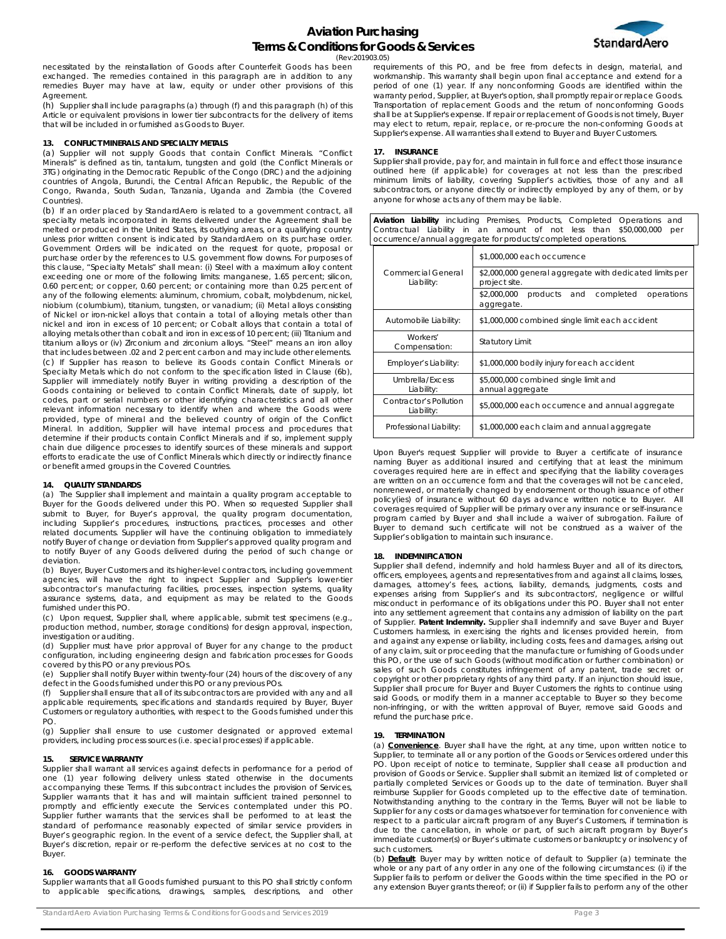

(Rev:201903.05)

necessitated by the reinstallation of Goods after Counterfeit Goods has been exchanged. The remedies contained in this paragraph are in addition to any remedies Buyer may have at law, equity or under other provisions of this Agreement.

(h) Supplier shall include paragraphs (a) through (f) and this paragraph (h) of this Article or equivalent provisions in lower tier subcontracts for the delivery of items that will be included in or furnished as Goods to Buyer.

## **13. CONFLICT MINERALS AND SPECIALTY METALS**

(a) Supplier will not supply Goods that contain Conflict Minerals. "Conflict Minerals" is defined as tin, tantalum, tungsten and gold (the Conflict Minerals or 3TG) originating in the Democratic Republic of the Congo (DRC) and the adjoining countries of Angola, Burundi, the Central African Republic, the Republic of the Congo, Rwanda, South Sudan, Tanzania, Uganda and Zambia (the Covered Countries).

(b) If an order placed by StandardAero is related to a government contract, all specialty metals incorporated in items delivered under the Agreement shall be melted or produced in the United States, its outlying areas, or a qualifying country unless prior written consent is indicated by StandardAero on its purchase order. Government Orders will be indicated on the request for quote, proposal or purchase order by the references to U.S. government flow downs. For purposes of this clause, "Specialty Metals" shall mean: (i) Steel with a maximum alloy content exceeding one or more of the following limits: manganese, 1.65 percent; silicon, 0.60 percent; or copper, 0.60 percent; or containing more than 0.25 percent of any of the following elements: aluminum, chromium, cobalt, molybdenum, nickel, niobium (columbium), titanium, tungsten, or vanadium; (ii) Metal alloys consisting of Nickel or iron-nickel alloys that contain a total of alloying metals other than nickel and iron in excess of 10 percent; or Cobalt alloys that contain a total of alloying metals other than cobalt and iron in excess of 10 percent; (iii) Titanium and titanium alloys or (iv) Zirconium and zirconium alloys. "Steel" means an iron alloy that includes between .02 and 2 percent carbon and may include other elements. (c) If Supplier has reason to believe its Goods contain Conflict Minerals or Specialty Metals which do not conform to the specification listed in Clause (6b), Supplier will immediately notify Buyer in writing providing a description of the Goods containing or believed to contain Conflict Minerals, date of supply, lot codes, part or serial numbers or other identifying characteristics and all other relevant information necessary to identify when and where the Goods were provided, type of mineral and the believed country of origin of the Conflict Mineral. In addition, Supplier will have internal process and procedures that determine if their products contain Conflict Minerals and if so, implement supply chain due diligence processes to identify sources of these minerals and support efforts to eradicate the use of Conflict Minerals which directly or indirectly finance or benefit armed groups in the Covered Countries.

### **14. QUALITY STANDARDS**

(a) The Supplier shall implement and maintain a quality program acceptable to Buyer for the Goods delivered under this PO. When so requested Supplier shall submit to Buyer, for Buyer's approval, the quality program documentation, including Supplier's procedures, instructions, practices, processes and other related documents. Supplier will have the continuing obligation to immediately notify Buyer of change or deviation from Supplier's approved quality program and to notify Buyer of any Goods delivered during the period of such change or deviation.

(b) Buyer, Buyer Customers and its higher-level contractors, including government agencies, will have the right to inspect Supplier and Supplier's lower-tier subcontractor's manufacturing facilities, processes, inspection systems, quality assurance systems, data, and equipment as may be related to the Goods furnished under this PO.

(c) Upon request, Supplier shall, where applicable, submit test specimens (e.g., production method, number, storage conditions) for design approval, inspection, investigation or auditing.

(d) Supplier must have prior approval of Buyer for any change to the product configuration, including engineering design and fabrication processes for Goods covered by this PO or any previous POs.

(e) Supplier shall notify Buyer within twenty-four (24) hours of the discovery of any defect in the Goods furnished under this PO or any previous POs.

(f) Supplier shall ensure that all of its subcontractors are provided with any and all applicable requirements, specifications and standards required by Buyer, Buyer Customers or regulatory authorities, with respect to the Goods furnished under this PO.

(g) Supplier shall ensure to use customer designated or approved external providers, including process sources (i.e. special processes) if applicable.

### **15. SERVICE WARRANTY**

Supplier shall warrant all services against defects in performance for a period of one (1) year following delivery unless stated otherwise in the documents accompanying these Terms. If this subcontract includes the provision of Services, Supplier warrants that it has and will maintain sufficient trained personnel to promptly and efficiently execute the Services contemplated under this PO. Supplier further warrants that the services shall be performed to at least the standard of performance reasonably expected of similar service providers in Buyer's geographic region. In the event of a service defect, the Supplier shall, at Buyer's discretion, repair or re-perform the defective services at no cost to the Buyer.

### **16. GOODS WARRANTY**

Supplier warrants that all Goods furnished pursuant to this PO shall strictly conform to applicable specifications, drawings, samples, descriptions, and other requirements of this PO, and be free from defects in design, material, and workmanship. This warranty shall begin upon final acceptance and extend for a period of one (1) year. If any nonconforming Goods are identified within the warranty period, Supplier, at Buyer's option, shall promptly repair or replace Goods. Transportation of replacement Goods and the return of nonconforming Goods shall be at Supplier's expense. If repair or replacement of Goods is not timely, Buyer may elect to return, repair, replace, or re-procure the non-conforming Goods at Supplier's expense. All warranties shall extend to Buyer and Buyer Customers.

#### **17. INSURANCE**

Supplier shall provide, pay for, and maintain in full force and effect those insurance outlined here (if applicable) for coverages at not less than the prescribed minimum limits of liability, covering Supplier's activities, those of any and all subcontractors, or anyone directly or indirectly employed by any of them, or by anyone for whose acts any of them may be liable.

**Aviation Liability** including Premises, Products, Completed Operations and Contractual Liability in an amount of not less than \$50,000,000 per occurrence/annual aggregate for products/completed operations.

|                                      | \$1,000,000 each occurrence                                              |
|--------------------------------------|--------------------------------------------------------------------------|
| Commercial General<br>Liability:     | \$2,000,000 general aggregate with dedicated limits per<br>project site. |
|                                      | \$2,000,000<br>products and<br>completed<br>operations<br>aggregate.     |
| Automobile Liability:                | \$1,000,000 combined single limit each accident                          |
| Workers'<br>Compensation:            | <b>Statutory Limit</b>                                                   |
| Employer's Liability:                | \$1,000,000 bodily injury for each accident                              |
| Umbrella/Excess<br>Liability:        | \$5,000,000 combined single limit and<br>annual aggregate                |
| Contractor's Pollution<br>Liability: | \$5,000,000 each occurrence and annual aggregate                         |
| Professional Liability:              | \$1,000,000 each claim and annual aggregate                              |

Upon Buyer's request Supplier will provide to Buyer a certificate of insurance naming Buyer as additional insured and certifying that at least the minimum coverages required here are in effect and specifying that the liability coverages are written on an occurrence form and that the coverages will not be canceled, nonrenewed, or materially changed by endorsement or though issuance of other policy(ies) of insurance without 60 days advance written notice to Buyer. All coverages required of Supplier will be primary over any insurance or self-insurance program carried by Buyer and shall include a waiver of subrogation. Failure of Buyer to demand such certificate will not be construed as a waiver of the Supplier's obligation to maintain such insurance.

### **18. INDEMNIFICATION**

Supplier shall defend, indemnify and hold harmless Buyer and all of its directors, officers, employees, agents and representatives from and against all claims, losses, damages, attorney's fees, actions, liability, demands, judgments, costs and expenses arising from Supplier's and its subcontractors', negligence or willful misconduct in performance of its obligations under this PO. Buyer shall not enter into any settlement agreement that contains any admission of liability on the part of Supplier. **Patent Indemnity.** Supplier shall indemnify and save Buyer and Buyer Customers harmless, in exercising the rights and licenses provided herein, from and against any expense or liability, including costs, fees and damages, arising out of any claim, suit or proceeding that the manufacture or furnishing of Goods under this PO, or the use of such Goods (without modification or further combination) or sales of such Goods constitutes infringement of any patent, trade secret or copyright or other proprietary rights of any third party. If an injunction should issue, Supplier shall procure for Buyer and Buyer Customers the rights to continue using said Goods, or modify them in a manner acceptable to Buyer so they become non-infringing, or with the written approval of Buyer, remove said Goods and refund the purchase price.

#### **19. TERMINATION**

(a) **Convenience**. Buyer shall have the right, at any time, upon written notice to Supplier, to terminate all or any portion of the Goods or Services ordered under this PO. Upon receipt of notice to terminate, Supplier shall cease all production and provision of Goods or Service. Supplier shall submit an itemized list of completed or partially completed Services or Goods up to the date of termination. Buyer shall reimburse Supplier for Goods completed up to the effective date of termination. Notwithstanding anything to the contrary in the Terms, Buyer will not be liable to Supplier for any costs or damages whatsoever for termination for convenience with respect to a particular aircraft program of any Buyer's Customers, if termination is due to the cancellation, in whole or part, of such aircraft program by Buyer's immediate customer(s) or Buyer's ultimate customers or bankruptcy or insolvency of such customers.

(b) **Default**. Buyer may by written notice of default to Supplier (a) terminate the whole or any part of any order in any one of the following circumstances: (i) if the Supplier fails to perform or deliver the Goods within the time specified in the PO or any extension Buyer grants thereof; or (ii) if Supplier fails to perform any of the other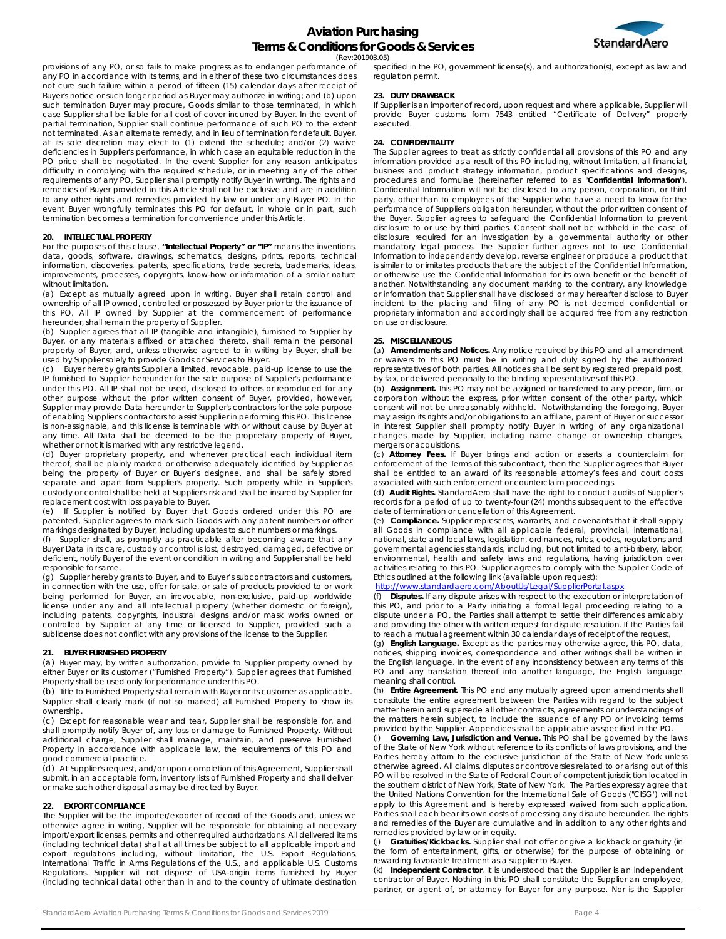

(Rev:201903.05)

provisions of any PO, or so fails to make progress as to endanger performance of any PO in accordance with its terms, and in either of these two circumstances does not cure such failure within a period of fifteen (15) calendar days after receipt of Buyer's notice or such longer period as Buyer may authorize in writing; and (b) upon such termination Buyer may procure, Goods similar to those terminated, in which case Supplier shall be liable for all cost of cover incurred by Buyer. In the event of partial termination, Supplier shall continue performance of such PO to the extent not terminated. As an alternate remedy, and in lieu of termination for default, Buyer, at its sole discretion may elect to (1) extend the schedule; and/or (2) waive deficiencies in Supplier's performance, in which case an equitable reduction in the PO price shall be negotiated. In the event Supplier for any reason anticipates difficulty in complying with the required schedule, or in meeting any of the other requirements of any PO, Supplier shall promptly notify Buyer in writing. The rights and remedies of Buyer provided in this Article shall not be exclusive and are in addition to any other rights and remedies provided by law or under any Buyer PO. In the event Buyer wrongfully terminates this PO for default, in whole or in part, such termination becomes a termination for convenience under this Article.

#### **20. INTELLECTUAL PROPERTY**

For the purposes of this clause, **"Intellectual Property" or "IP"** means the inventions, data, goods, software, drawings, schematics, designs, prints, reports, technical information, discoveries, patents, specifications, trade secrets, trademarks, ideas, improvements, processes, copyrights, know-how or information of a similar nature without limitation.

(a) Except as mutually agreed upon in writing, Buyer shall retain control and ownership of all IP owned, controlled or possessed by Buyer prior to the issuance of this PO. All IP owned by Supplier at the commencement of performance hereunder, shall remain the property of Supplier.

(b) Supplier agrees that all IP (tangible and intangible), furnished to Supplier by Buyer, or any materials affixed or attached thereto, shall remain the personal property of Buyer, and, unless otherwise agreed to in writing by Buyer, shall be used by Supplier solely to provide Goods or Services to Buyer.

(c) Buyer hereby grants Supplier a limited, revocable, paid-up license to use the IP furnished to Supplier hereunder for the sole purpose of Supplier's performance under this PO. All IP shall not be used, disclosed to others or reproduced for any other purpose without the prior written consent of Buyer, provided, however, Supplier may provide Data hereunder to Supplier's contractors for the sole purpose of enabling Supplier's contractors to assist Supplier in performing this PO. This license is non-assignable, and this license is terminable with or without cause by Buyer at any time. All Data shall be deemed to be the proprietary property of Buyer, whether or not it is marked with any restrictive legend.

(d) Buyer proprietary property, and whenever practical each individual item thereof, shall be plainly marked or otherwise adequately identified by Supplier as being the property of Buyer or Buyer's designee, and shall be safely stored separate and apart from Supplier's property. Such property while in Supplier's custody or control shall be held at Supplier's risk and shall be insured by Supplier for

replacement cost with loss payable to Buyer. (e) If Supplier is notified by Buyer that Goods ordered under this PO are patented, Supplier agrees to mark such Goods with any patent numbers or other markings designated by Buyer, including updates to such numbers or markings.

Supplier shall, as promptly as practicable after becoming aware that any Buyer Data in its care, custody or control is lost, destroyed, damaged, defective or deficient, notify Buyer of the event or condition in writing and Supplier shall be held responsible for same.

(g) Supplier hereby grants to Buyer, and to Buyer's subcontractors and customers, in connection with the use, offer for sale, or sale of products provided to or work being performed for Buyer, an irrevocable, non-exclusive, paid-up worldwide license under any and all intellectual property (whether domestic or foreign), including patents, copyrights, industrial designs and/or mask works owned or controlled by Supplier at any time or licensed to Supplier, provided such a sublicense does not conflict with any provisions of the license to the Supplier.

### **21. BUYER FURNISHED PROPERTY**

(a) Buyer may, by written authorization, provide to Supplier property owned by either Buyer or its customer ("Furnished Property"). Supplier agrees that Furnished Property shall be used only for performance under this PO.

(b) Title to Furnished Property shall remain with Buyer or its customer as applicable. Supplier shall clearly mark (if not so marked) all Furnished Property to show its ownership.

(c) Except for reasonable wear and tear, Supplier shall be responsible for, and shall promptly notify Buyer of, any loss or damage to Furnished Property. Without additional charge, Supplier shall manage, maintain, and preserve Furnished Property in accordance with applicable law, the requirements of this PO and good commercial practice.

(d) At Supplier's request, and/or upon completion of this Agreement, Supplier shall submit, in an acceptable form, inventory lists of Furnished Property and shall deliver or make such other disposal as may be directed by Buyer.

#### **22. EXPORT COMPLIANCE**

The Supplier will be the importer/exporter of record of the Goods and, unless we otherwise agree in writing, Supplier will be responsible for obtaining all necessary import/export licenses, permits and other required authorizations. All delivered items (including technical data) shall at all times be subject to all applicable import and export regulations including, without limitation, the U.S. Export Regulations, International Traffic in Arms Regulations of the U.S., and applicable U.S. Customs Regulations. Supplier will not dispose of USA-origin items furnished by Buyer (including technical data) other than in and to the country of ultimate destination

specified in the PO, government license(s), and authorization(s), except as law and regulation permit.

#### **23. DUTY DRAWBACK**

If Supplier is an importer of record, upon request and where applicable, Supplier will provide Buyer customs form 7543 entitled "Certificate of Delivery" properly executed.

## **24. CONFIDENTIALITY**

The Supplier agrees to treat as strictly confidential all provisions of this PO and any information provided as a result of this PO including, without limitation, all financial, business and product strategy information, product specifications and designs, procedures and formulae (hereinafter referred to as "**Confidential Information**"). Confidential Information will not be disclosed to any person, corporation, or third party, other than to employees of the Supplier who have a need to know for the performance of Supplier's obligation hereunder, without the prior written consent of the Buyer. Supplier agrees to safeguard the Confidential Information to prevent disclosure to or use by third parties. Consent shall not be withheld in the case of disclosure required for an investigation by a governmental authority or other mandatory legal process. The Supplier further agrees not to use Confidential Information to independently develop, reverse engineer or produce a product that is similar to or imitates products that are the subject of the Confidential Information, or otherwise use the Confidential Information for its own benefit or the benefit of another. Notwithstanding any document marking to the contrary, any knowledge or information that Supplier shall have disclosed or may hereafter disclose to Buyer incident to the placing and filling of any PO is not deemed confidential or proprietary information and accordingly shall be acquired free from any restriction on use or disclosure.

### **25. MISCELLANEOUS**

(a) **Amendments and Notices.** Any notice required by this PO and all amendment or waivers to this PO must be in writing and duly signed by the authorized representatives of both parties. All notices shall be sent by registered prepaid post, by fax, or delivered personally to the binding representatives of this PO.

(b) **Assignment.** This PO may not be assigned or transferred to any person, firm, or corporation without the express, prior written consent of the other party, which consent will not be unreasonably withheld. Notwithstanding the foregoing, Buyer may assign its rights and/or obligations to an affiliate, parent of Buyer or successor in interest Supplier shall promptly notify Buyer in writing of any organizational changes made by Supplier, including name change or ownership changes, mergers or acquisitions.

(c) **Attorney Fees.** If Buyer brings and action or asserts a counterclaim for enforcement of the Terms of this subcontract, then the Supplier agrees that Buyer shall be entitled to an award of its reasonable attorney's fees and court costs associated with such enforcement or counterclaim proceedings.

(d) **Audit Rights.** StandardAero shall have the right to conduct audits of Supplier's records for a period of up to twenty-four (24) months subsequent to the effective date of termination or cancellation of this Agreement.

(e) **Compliance.** Supplier represents, warrants, and covenants that it shall supply all Goods in compliance with all applicable federal, provincial, international, national, state and local laws, legislation, ordinances, rules, codes, regulations and governmental agencies standards, including, but not limited to anti-bribery, labor, environmental, health and safety laws and regulations, having jurisdiction over activities relating to this PO. Supplier agrees to comply with the Supplier Code of Ethics outlined at the following link (available upon request):

## http://www.standardaero.com/AboutUs/Legal/SupplierPortal.aspx

Disputes. If any dispute arises with respect to the execution or interpretation of this PO, and prior to a Party initiating a formal legal proceeding relating to a dispute under a PO, the Parties shall attempt to settle their differences amicably and providing the other with written request for dispute resolution. If the Parties fail to reach a mutual agreement within 30 calendar days of receipt of the request,

(g) **English Language.** Except as the parties may otherwise agree, this PO, data, notices, shipping invoices, correspondence and other writings shall be written in the English language. In the event of any inconsistency between any terms of this PO and any translation thereof into another language, the English language meaning shall control.

(h) **Entire Agreement.** This PO and any mutually agreed upon amendments shall constitute the entire agreement between the Parties with regard to the subject matter herein and supersede all other contracts, agreements or understandings of the matters herein subject, to include the issuance of any PO or invoicing terms provided by the Supplier. Appendices shall be applicable as specified in the PO.

Governing Law, Jurisdiction and Venue. This PO shall be governed by the laws of the State of New York without reference to its conflicts of laws provisions, and the Parties hereby attorn to the exclusive jurisdiction of the State of New York unless otherwise agreed. All claims, disputes or controversies related to or arising out of this PO will be resolved in the State of Federal Court of competent jurisdiction located in the southern district of New York, State of New York. The Parties expressly agree that the United Nations Convention for the International Sale of Goods ("CISG") will not apply to this Agreement and is hereby expressed waived from such application. Parties shall each bear its own costs of processing any dispute hereunder. The rights and remedies of the Buyer are cumulative and in addition to any other rights and remedies provided by law or in equity.

(j) **Gratuities/Kickbacks.** Supplier shall not offer or give a kickback or gratuity (in the form of entertainment, gifts, or otherwise) for the purpose of obtaining or rewarding favorable treatment as a supplier to Buyer.

(k) **Independent Contractor**. It is understood that the Supplier is an independent contractor of Buyer. Nothing in this PO shall constitute the Supplier an employee, partner, or agent of, or attorney for Buyer for any purpose. Nor is the Supplier